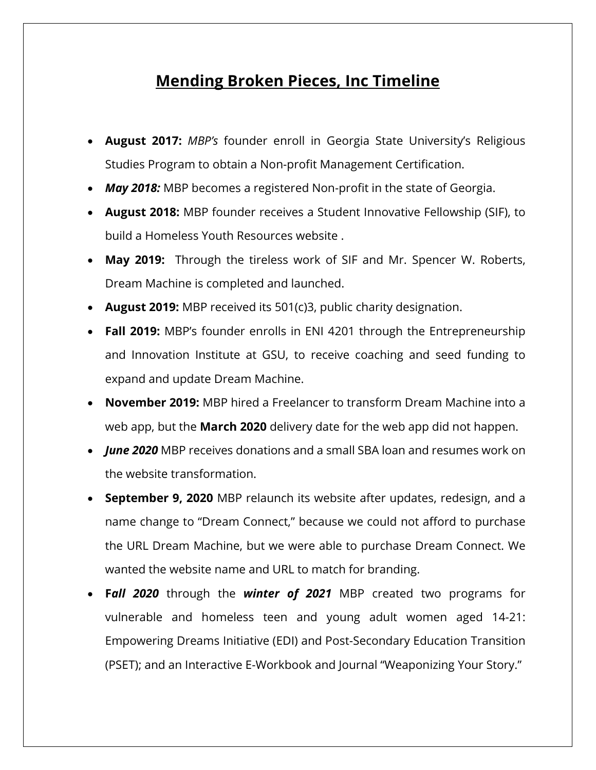## **Mending Broken Pieces, Inc Timeline**

- **August 2017:** *MBP's* founder enroll in Georgia State University's Religious Studies Program to obtain a Non-profit Management Certification.
- *May 2018:* MBP becomes a registered Non-profit in the state of Georgia.
- **August 2018:** MBP founder receives a Student Innovative Fellowship (SIF), to build a Homeless Youth Resources website .
- **May 2019:** Through the tireless work of SIF and Mr. Spencer W. Roberts, Dream Machine is completed and launched.
- **August 2019:** MBP received its 501(c)3, public charity designation.
- **Fall 2019:** MBP's founder enrolls in ENI 4201 through the Entrepreneurship and Innovation Institute at GSU, to receive coaching and seed funding to expand and update Dream Machine.
- **November 2019:** MBP hired a Freelancer to transform Dream Machine into a web app, but the **March 2020** delivery date for the web app did not happen.
- *June 2020* MBP receives donations and a small SBA loan and resumes work on the website transformation.
- **September 9, 2020** MBP relaunch its website after updates, redesign, and a name change to "Dream Connect," because we could not afford to purchase the URL Dream Machine, but we were able to purchase Dream Connect. We wanted the website name and URL to match for branding.
- **F***all 2020* through the *winter of 2021* MBP created two programs for vulnerable and homeless teen and young adult women aged 14-21: Empowering Dreams Initiative (EDI) and Post-Secondary Education Transition (PSET); and an Interactive E-Workbook and Journal "Weaponizing Your Story."